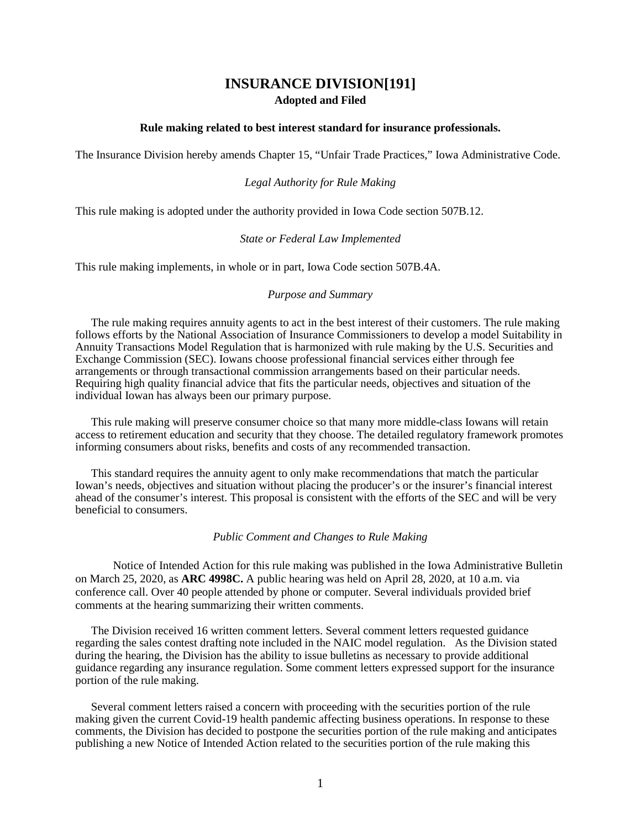# **INSURANCE DIVISION[191] Adopted and Filed**

## **Rule making related to best interest standard for insurance professionals.**

The Insurance Division hereby amends Chapter 15, "Unfair Trade Practices," Iowa Administrative Code.

#### *Legal Authority for Rule Making*

This rule making is adopted under the authority provided in Iowa Code section 507B.12.

#### *State or Federal Law Implemented*

This rule making implements, in whole or in part, Iowa Code section 507B.4A.

#### *Purpose and Summary*

The rule making requires annuity agents to act in the best interest of their customers. The rule making follows efforts by the National Association of Insurance Commissioners to develop a model Suitability in Annuity Transactions Model Regulation that is harmonized with rule making by the U.S. Securities and Exchange Commission (SEC). Iowans choose professional financial services either through fee arrangements or through transactional commission arrangements based on their particular needs. Requiring high quality financial advice that fits the particular needs, objectives and situation of the individual Iowan has always been our primary purpose.

This rule making will preserve consumer choice so that many more middle-class Iowans will retain access to retirement education and security that they choose. The detailed regulatory framework promotes informing consumers about risks, benefits and costs of any recommended transaction.

This standard requires the annuity agent to only make recommendations that match the particular Iowan's needs, objectives and situation without placing the producer's or the insurer's financial interest ahead of the consumer's interest. This proposal is consistent with the efforts of the SEC and will be very beneficial to consumers.

#### *Public Comment and Changes to Rule Making*

Notice of Intended Action for this rule making was published in the Iowa Administrative Bulletin on March 25, 2020, as **ARC 4998C.** A public hearing was held on April 28, 2020, at 10 a.m. via conference call. Over 40 people attended by phone or computer. Several individuals provided brief comments at the hearing summarizing their written comments.

The Division received 16 written comment letters. Several comment letters requested guidance regarding the sales contest drafting note included in the NAIC model regulation. As the Division stated during the hearing, the Division has the ability to issue bulletins as necessary to provide additional guidance regarding any insurance regulation. Some comment letters expressed support for the insurance portion of the rule making.

Several comment letters raised a concern with proceeding with the securities portion of the rule making given the current Covid-19 health pandemic affecting business operations. In response to these comments, the Division has decided to postpone the securities portion of the rule making and anticipates publishing a new Notice of Intended Action related to the securities portion of the rule making this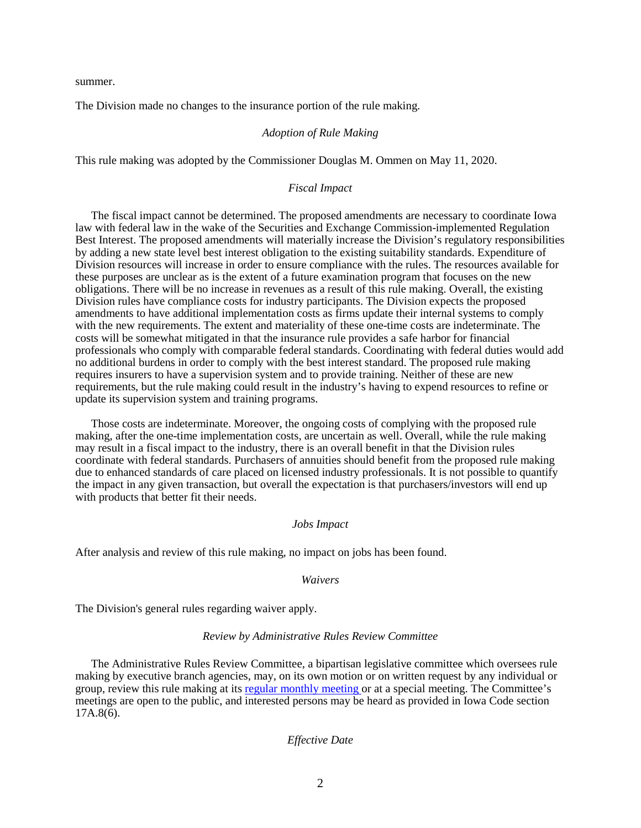summer.

The Division made no changes to the insurance portion of the rule making.

#### *Adoption of Rule Making*

This rule making was adopted by the Commissioner Douglas M. Ommen on May 11, 2020.

#### *Fiscal Impact*

The fiscal impact cannot be determined. The proposed amendments are necessary to coordinate Iowa law with federal law in the wake of the Securities and Exchange Commission-implemented Regulation Best Interest. The proposed amendments will materially increase the Division's regulatory responsibilities by adding a new state level best interest obligation to the existing suitability standards. Expenditure of Division resources will increase in order to ensure compliance with the rules. The resources available for these purposes are unclear as is the extent of a future examination program that focuses on the new obligations. There will be no increase in revenues as a result of this rule making. Overall, the existing Division rules have compliance costs for industry participants. The Division expects the proposed amendments to have additional implementation costs as firms update their internal systems to comply with the new requirements. The extent and materiality of these one-time costs are indeterminate. The costs will be somewhat mitigated in that the insurance rule provides a safe harbor for financial professionals who comply with comparable federal standards. Coordinating with federal duties would add no additional burdens in order to comply with the best interest standard. The proposed rule making requires insurers to have a supervision system and to provide training. Neither of these are new requirements, but the rule making could result in the industry's having to expend resources to refine or update its supervision system and training programs.

Those costs are indeterminate. Moreover, the ongoing costs of complying with the proposed rule making, after the one-time implementation costs, are uncertain as well. Overall, while the rule making may result in a fiscal impact to the industry, there is an overall benefit in that the Division rules coordinate with federal standards. Purchasers of annuities should benefit from the proposed rule making due to enhanced standards of care placed on licensed industry professionals. It is not possible to quantify the impact in any given transaction, but overall the expectation is that purchasers/investors will end up with products that better fit their needs.

### *Jobs Impact*

After analysis and review of this rule making, no impact on jobs has been found.

#### *Waivers*

The Division's general rules regarding waiver apply.

#### *Review by Administrative Rules Review Committee*

The Administrative Rules Review Committee, a bipartisan legislative committee which oversees rule making by executive branch agencies, may, on its own motion or on written request by any individual or group, review this rule making at its [regular monthly meeting](https://www.legis.iowa.gov/committees/meetings/meetingsListComm?groupID=705&ga=88) or at a special meeting. The Committee's meetings are open to the public, and interested persons may be heard as provided in Iowa Code section 17A.8(6).

#### *Effective Date*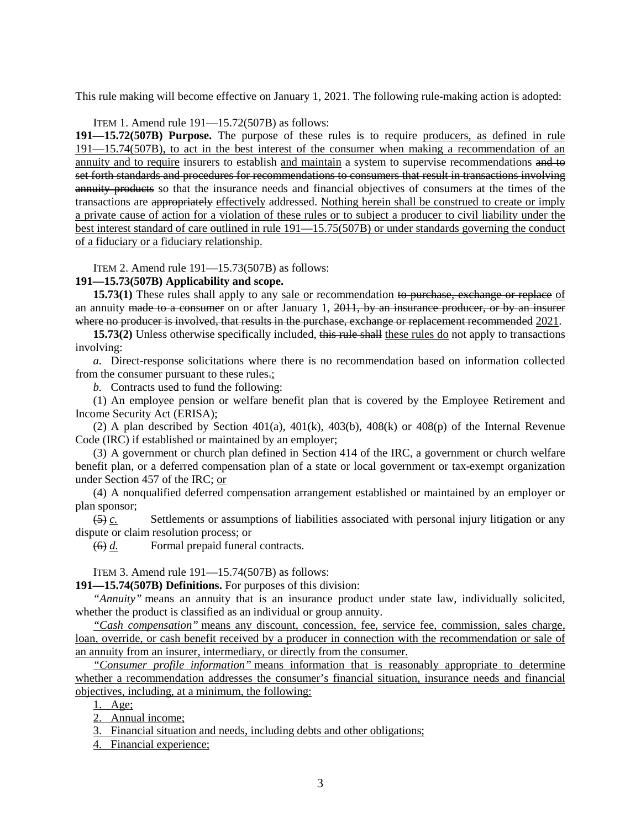This rule making will become effective on January 1, 2021. The following rule-making action is adopted:

ITEM 1. Amend rule 191—15.72(507B) as follows:

**191—15.72(507B) Purpose.** The purpose of these rules is to require producers, as defined in rule 191—15.74(507B), to act in the best interest of the consumer when making a recommendation of an annuity and to require insurers to establish and maintain a system to supervise recommendations and to set forth standards and procedures for recommendations to consumers that result in transactions involving annuity products so that the insurance needs and financial objectives of consumers at the times of the transactions are appropriately effectively addressed. Nothing herein shall be construed to create or imply a private cause of action for a violation of these rules or to subject a producer to civil liability under the best interest standard of care outlined in rule 191—15.75(507B) or under standards governing the conduct of a fiduciary or a fiduciary relationship.

ITEM 2. Amend rule 191—15.73(507B) as follows:

## **191—15.73(507B) Applicability and scope.**

**15.73(1)** These rules shall apply to any sale or recommendation to purchase, exchange or replace of an annuity made to a consumer on or after January 1,  $2011$ , by an insurance producer, or by an insurer where no producer is involved, that results in the purchase, exchange or replacement recommended 2021.

**15.73(2)** Unless otherwise specifically included, this rule shall these rules do not apply to transactions involving:

*a.* Direct-response solicitations where there is no recommendation based on information collected from the consumer pursuant to these rules.;

*b.* Contracts used to fund the following:

(1) An employee pension or welfare benefit plan that is covered by the Employee Retirement and Income Security Act (ERISA);

(2) A plan described by Section 401(a), 401(k), 403(b), 408(k) or 408(p) of the Internal Revenue Code (IRC) if established or maintained by an employer;

(3) A government or church plan defined in Section 414 of the IRC, a government or church welfare benefit plan, or a deferred compensation plan of a state or local government or tax-exempt organization under Section 457 of the IRC; or

(4) A nonqualified deferred compensation arrangement established or maintained by an employer or plan sponsor;

(5) *c.* Settlements or assumptions of liabilities associated with personal injury litigation or any dispute or claim resolution process; or

(6) *d.* Formal prepaid funeral contracts.

ITEM 3. Amend rule 191—15.74(507B) as follows:

**191—15.74(507B) Definitions.** For purposes of this division:

*"Annuity"* means an annuity that is an insurance product under state law, individually solicited, whether the product is classified as an individual or group annuity.

*"Cash compensation"* means any discount, concession, fee, service fee, commission, sales charge, loan, override, or cash benefit received by a producer in connection with the recommendation or sale of an annuity from an insurer, intermediary, or directly from the consumer.

*"Consumer profile information"* means information that is reasonably appropriate to determine whether a recommendation addresses the consumer's financial situation, insurance needs and financial objectives, including, at a minimum, the following:

1. Age;

2. Annual income;

3. Financial situation and needs, including debts and other obligations;

4. Financial experience;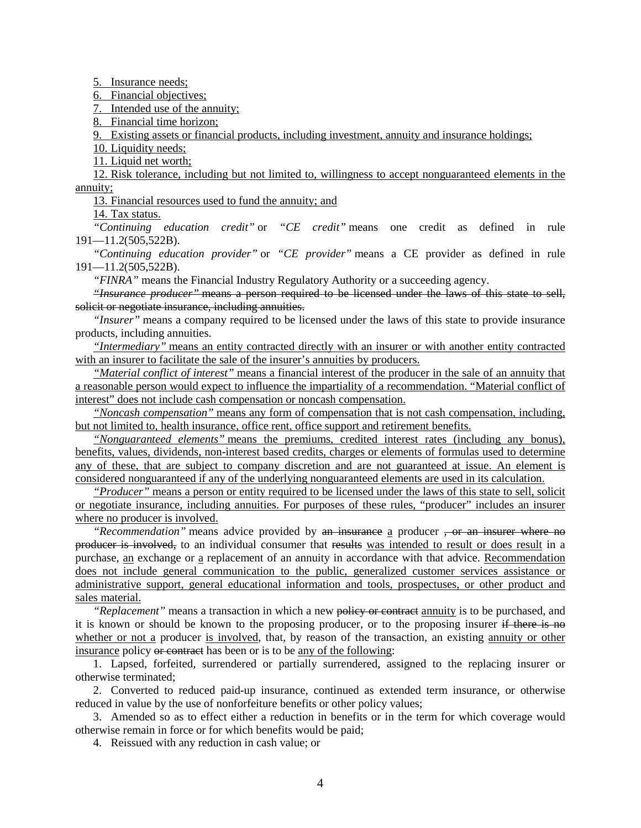5. Insurance needs;

6. Financial objectives;

7. Intended use of the annuity;

8. Financial time horizon;

9. Existing assets or financial products, including investment, annuity and insurance holdings;

10. Liquidity needs;

11. Liquid net worth;

12. Risk tolerance, including but not limited to, willingness to accept nonguaranteed elements in the annuity;

13. Financial resources used to fund the annuity; and

14. Tax status.

*"Continuing education credit"* or *"CE credit"* means one credit as defined in rule [191—11.2\(](https://www.legis.iowa.gov/docs/iac/rule/191.11.2.pdf)505,522B).

*"Continuing education provider"* or *"CE provider"* means a CE provider as defined in rule [191—11.2\(](https://www.legis.iowa.gov/docs/iac/rule/191.11.2.pdf)505,522B).

*"FINRA"* means the Financial Industry Regulatory Authority or a succeeding agency.

*"Insurance producer"* means a person required to be licensed under the laws of this state to sell, solicit or negotiate insurance, including annuities.

*"Insurer"* means a company required to be licensed under the laws of this state to provide insurance products, including annuities.

*"Intermediary"* means an entity contracted directly with an insurer or with another entity contracted with an insurer to facilitate the sale of the insurer's annuities by producers.

*"Material conflict of interest"* means a financial interest of the producer in the sale of an annuity that a reasonable person would expect to influence the impartiality of a recommendation. "Material conflict of interest" does not include cash compensation or noncash compensation.

*"Noncash compensation"* means any form of compensation that is not cash compensation, including, but not limited to, health insurance, office rent, office support and retirement benefits.

*"Nonguaranteed elements"* means the premiums, credited interest rates (including any bonus), benefits, values, dividends, non-interest based credits, charges or elements of formulas used to determine any of these, that are subject to company discretion and are not guaranteed at issue. An element is considered nonguaranteed if any of the underlying nonguaranteed elements are used in its calculation.

*"Producer"* means a person or entity required to be licensed under the laws of this state to sell, solicit or negotiate insurance, including annuities. For purposes of these rules, "producer" includes an insurer where no producer is involved.

*"Recommendation"* means advice provided by an insurance a producer , or an insurer where no producer is involved, to an individual consumer that results was intended to result or does result in a purchase, an exchange or a replacement of an annuity in accordance with that advice. Recommendation does not include general communication to the public, generalized customer services assistance or administrative support, general educational information and tools, prospectuses, or other product and sales material.

*"Replacement"* means a transaction in which a new policy or contract annuity is to be purchased, and it is known or should be known to the proposing producer, or to the proposing insurer if there is no whether or not a producer is involved, that, by reason of the transaction, an existing annuity or other insurance policy or contract has been or is to be any of the following:

1. Lapsed, forfeited, surrendered or partially surrendered, assigned to the replacing insurer or otherwise terminated;

2. Converted to reduced paid-up insurance, continued as extended term insurance, or otherwise reduced in value by the use of nonforfeiture benefits or other policy values;

3. Amended so as to effect either a reduction in benefits or in the term for which coverage would otherwise remain in force or for which benefits would be paid;

4. Reissued with any reduction in cash value; or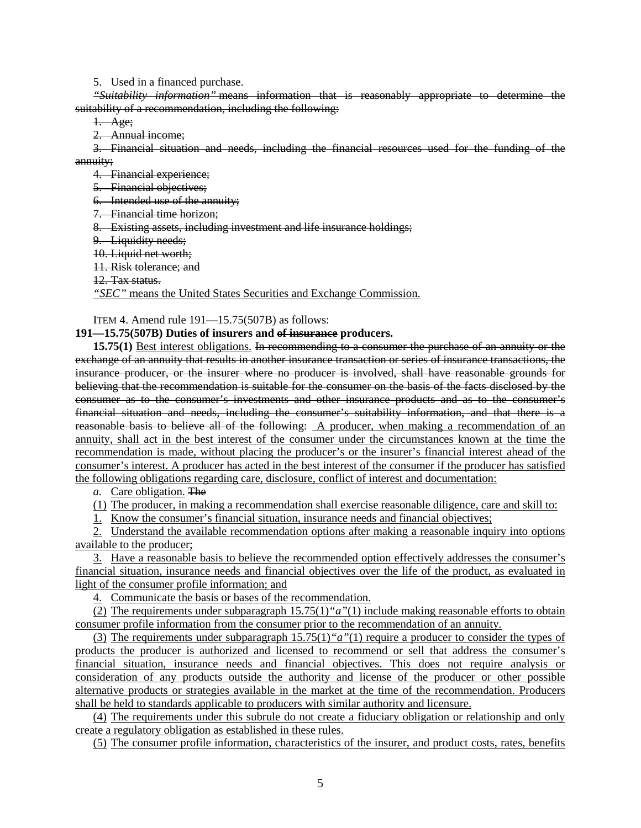5. Used in a financed purchase.

*"Suitability information"* means information that is reasonably appropriate to determine the suitability of a recommendation, including the following:

1. Age;

2. Annual income;

3. Financial situation and needs, including the financial resources used for the funding of the annuity;

4. Financial experience;

5. Financial objectives;

6. Intended use of the annuity;

7. Financial time horizon;

8. Existing assets, including investment and life insurance holdings;

9. Liquidity needs;

10. Liquid net worth;

11. Risk tolerance; and

12. Tax status.

*"SEC"* means the United States Securities and Exchange Commission.

ITEM 4. Amend rule 191—15.75(507B) as follows:

## **191—15.75(507B) Duties of insurers and of insurance producers.**

**15.75(1)** Best interest obligations. In recommending to a consumer the purchase of an annuity or the exchange of an annuity that results in another insurance transaction or series of insurance transactions, the insurance producer, or the insurer where no producer is involved, shall have reasonable grounds for believing that the recommendation is suitable for the consumer on the basis of the facts disclosed by the consumer as to the consumer's investments and other insurance products and as to the consumer's financial situation and needs, including the consumer's suitability information, and that there is a reasonable basis to believe all of the following: A producer, when making a recommendation of an annuity, shall act in the best interest of the consumer under the circumstances known at the time the recommendation is made, without placing the producer's or the insurer's financial interest ahead of the consumer's interest. A producer has acted in the best interest of the consumer if the producer has satisfied the following obligations regarding care, disclosure, conflict of interest and documentation:

*a.* Care obligation. The

(1) The producer, in making a recommendation shall exercise reasonable diligence, care and skill to:

1. Know the consumer's financial situation, insurance needs and financial objectives;

2. Understand the available recommendation options after making a reasonable inquiry into options available to the producer;

3. Have a reasonable basis to believe the recommended option effectively addresses the consumer's financial situation, insurance needs and financial objectives over the life of the product, as evaluated in light of the consumer profile information; and

4. Communicate the basis or bases of the recommendation.

(2) The requirements under subparagraph 15.75(1)*"a"*(1) include making reasonable efforts to obtain consumer profile information from the consumer prior to the recommendation of an annuity.

(3) The requirements under subparagraph 15.75(1)*"a"*(1) require a producer to consider the types of products the producer is authorized and licensed to recommend or sell that address the consumer's financial situation, insurance needs and financial objectives. This does not require analysis or consideration of any products outside the authority and license of the producer or other possible alternative products or strategies available in the market at the time of the recommendation. Producers shall be held to standards applicable to producers with similar authority and licensure.

(4) The requirements under this subrule do not create a fiduciary obligation or relationship and only create a regulatory obligation as established in these rules.

(5) The consumer profile information, characteristics of the insurer, and product costs, rates, benefits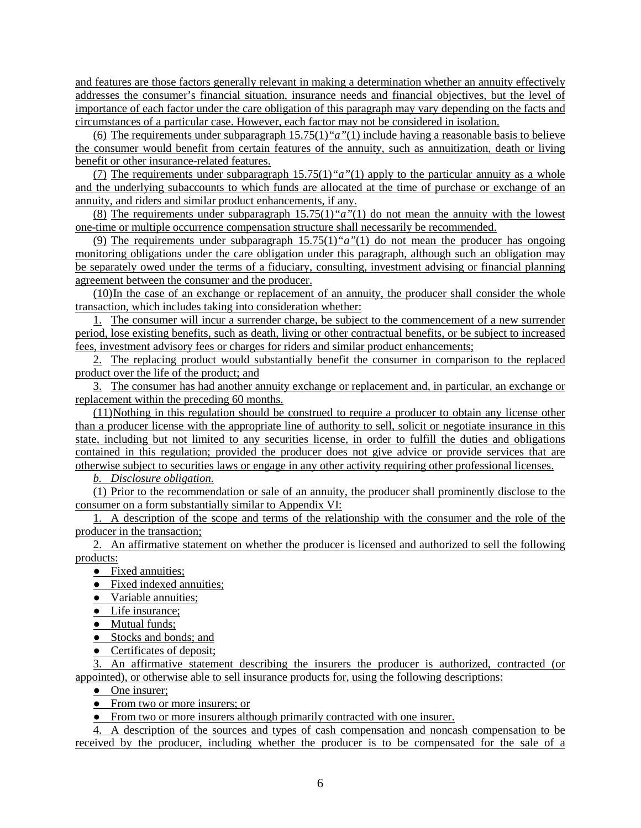and features are those factors generally relevant in making a determination whether an annuity effectively addresses the consumer's financial situation, insurance needs and financial objectives, but the level of importance of each factor under the care obligation of this paragraph may vary depending on the facts and circumstances of a particular case. However, each factor may not be considered in isolation.

(6) The requirements under subparagraph 15.75(1)*"a"*(1) include having a reasonable basis to believe the consumer would benefit from certain features of the annuity, such as annuitization, death or living benefit or other insurance-related features.

(7) The requirements under subparagraph 15.75(1)*"a"*(1) apply to the particular annuity as a whole and the underlying subaccounts to which funds are allocated at the time of purchase or exchange of an annuity, and riders and similar product enhancements, if any.

(8) The requirements under subparagraph 15.75(1)*"a"*(1) do not mean the annuity with the lowest one-time or multiple occurrence compensation structure shall necessarily be recommended.

(9) The requirements under subparagraph 15.75(1)*"a"*(1) do not mean the producer has ongoing monitoring obligations under the care obligation under this paragraph, although such an obligation may be separately owed under the terms of a fiduciary, consulting, investment advising or financial planning agreement between the consumer and the producer.

(10)In the case of an exchange or replacement of an annuity, the producer shall consider the whole transaction, which includes taking into consideration whether:

1. The consumer will incur a surrender charge, be subject to the commencement of a new surrender period, lose existing benefits, such as death, living or other contractual benefits, or be subject to increased fees, investment advisory fees or charges for riders and similar product enhancements;

2. The replacing product would substantially benefit the consumer in comparison to the replaced product over the life of the product; and

3. The consumer has had another annuity exchange or replacement and, in particular, an exchange or replacement within the preceding 60 months.

(11)Nothing in this regulation should be construed to require a producer to obtain any license other than a producer license with the appropriate line of authority to sell, solicit or negotiate insurance in this state, including but not limited to any securities license, in order to fulfill the duties and obligations contained in this regulation; provided the producer does not give advice or provide services that are otherwise subject to securities laws or engage in any other activity requiring other professional licenses.

*b. Disclosure obligation.*

(1) Prior to the recommendation or sale of an annuity, the producer shall prominently disclose to the consumer on a form substantially similar to Appendix VI:

1. A description of the scope and terms of the relationship with the consumer and the role of the producer in the transaction;

2. An affirmative statement on whether the producer is licensed and authorized to sell the following products:

• Fixed annuities;

- Fixed indexed annuities;
- Variable annuities;
- Life insurance;
- Mutual funds:
- Stocks and bonds; and
- Certificates of deposit;

3. An affirmative statement describing the insurers the producer is authorized, contracted (or appointed), or otherwise able to sell insurance products for, using the following descriptions:

• One insurer;

• From two or more insurers; or

● From two or more insurers although primarily contracted with one insurer.

4. A description of the sources and types of cash compensation and noncash compensation to be received by the producer, including whether the producer is to be compensated for the sale of a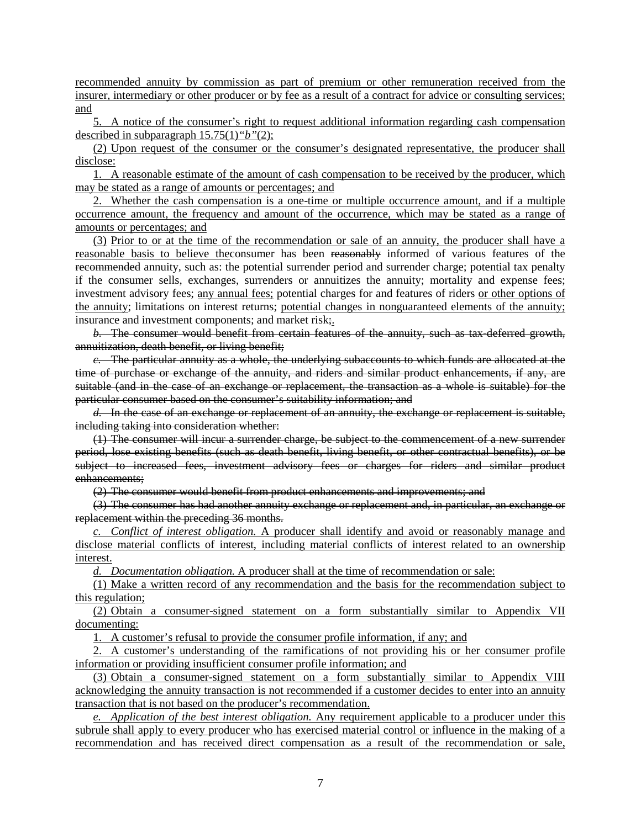recommended annuity by commission as part of premium or other remuneration received from the insurer, intermediary or other producer or by fee as a result of a contract for advice or consulting services; and

5. A notice of the consumer's right to request additional information regarding cash compensation described in subparagraph 15.75(1)*"b"*(2);

(2) Upon request of the consumer or the consumer's designated representative, the producer shall disclose:

1. A reasonable estimate of the amount of cash compensation to be received by the producer, which may be stated as a range of amounts or percentages; and

2. Whether the cash compensation is a one-time or multiple occurrence amount, and if a multiple occurrence amount, the frequency and amount of the occurrence, which may be stated as a range of amounts or percentages; and

(3) Prior to or at the time of the recommendation or sale of an annuity, the producer shall have a reasonable basis to believe theconsumer has been reasonably informed of various features of the recommended annuity, such as: the potential surrender period and surrender charge; potential tax penalty if the consumer sells, exchanges, surrenders or annuitizes the annuity; mortality and expense fees; investment advisory fees; any annual fees; potential charges for and features of riders or other options of the annuity; limitations on interest returns; potential changes in nonguaranteed elements of the annuity; insurance and investment components; and market risk;.

*b.* The consumer would benefit from certain features of the annuity, such as tax-deferred growth, annuitization, death benefit, or living benefit;

*c.* The particular annuity as a whole, the underlying subaccounts to which funds are allocated at the time of purchase or exchange of the annuity, and riders and similar product enhancements, if any, are suitable (and in the case of an exchange or replacement, the transaction as a whole is suitable) for the particular consumer based on the consumer's suitability information; and

*d.* In the case of an exchange or replacement of an annuity, the exchange or replacement is suitable, including taking into consideration whether:

(1) The consumer will incur a surrender charge, be subject to the commencement of a new surrender period, lose existing benefits (such as death benefit, living benefit, or other contractual benefits), or be subject to increased fees, investment advisory fees or charges for riders and similar product enhancements;

(2) The consumer would benefit from product enhancements and improvements; and

(3) The consumer has had another annuity exchange or replacement and, in particular, an exchange or replacement within the preceding 36 months.

*c. Conflict of interest obligation.* A producer shall identify and avoid or reasonably manage and disclose material conflicts of interest, including material conflicts of interest related to an ownership interest.

*d. Documentation obligation.* A producer shall at the time of recommendation or sale:

(1) Make a written record of any recommendation and the basis for the recommendation subject to this regulation;

(2) Obtain a consumer-signed statement on a form substantially similar to Appendix VII documenting:

1. A customer's refusal to provide the consumer profile information, if any; and

2. A customer's understanding of the ramifications of not providing his or her consumer profile information or providing insufficient consumer profile information; and

(3) Obtain a consumer-signed statement on a form substantially similar to Appendix VIII acknowledging the annuity transaction is not recommended if a customer decides to enter into an annuity transaction that is not based on the producer's recommendation.

*e. Application of the best interest obligation.* Any requirement applicable to a producer under this subrule shall apply to every producer who has exercised material control or influence in the making of a recommendation and has received direct compensation as a result of the recommendation or sale,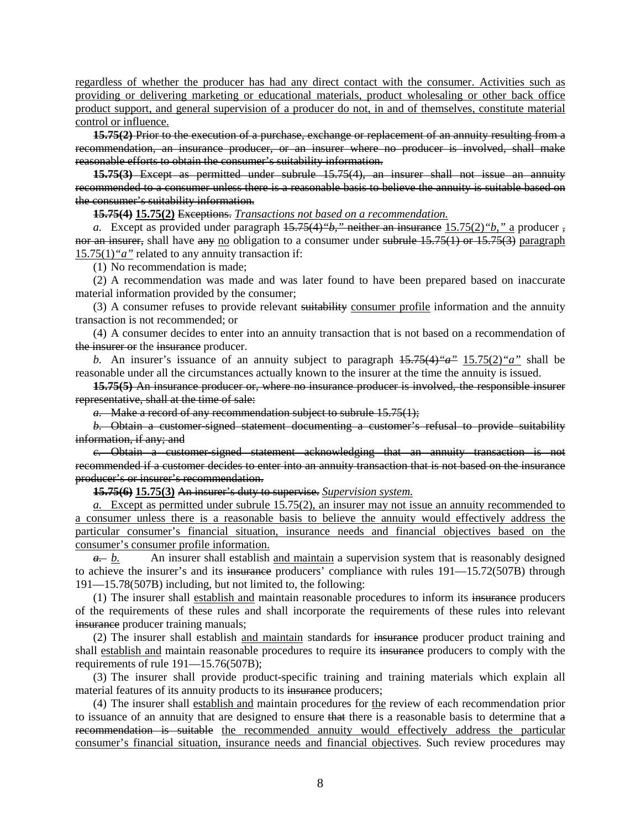regardless of whether the producer has had any direct contact with the consumer. Activities such as providing or delivering marketing or educational materials, product wholesaling or other back office product support, and general supervision of a producer do not, in and of themselves, constitute material control or influence.

**15.75(2)** Prior to the execution of a purchase, exchange or replacement of an annuity resulting from a recommendation, an insurance producer, or an insurer where no producer is involved, shall make reasonable efforts to obtain the consumer's suitability information.

**15.75(3)** Except as permitted under subrule [15.75\(4\),](https://www.legis.iowa.gov/docs/iac/rule/191.15.75.pdf) an insurer shall not issue an annuity recommended to a consumer unless there is a reasonable basis to believe the annuity is suitable based on the consumer's suitability information.

**15.75(4) 15.75(2)** Exceptions. *Transactions not based on a recommendation.*

*a.* Except as provided under paragraph [15.75\(4\)](https://www.legis.iowa.gov/docs/iac/rule/191.15.75.pdf)*"b,"* neither an insurance 15.75(2)*"b,"* a producer , nor an insurer, shall have any no obligation to a consumer under subrule [15.75\(1\)](https://www.legis.iowa.gov/docs/iac/rule/191.15.75.pdf) or [15.75\(3\)](https://www.legis.iowa.gov/docs/iac/rule/191.15.75.pdf) paragraph 15.75(1)*"a"* related to any annuity transaction if:

(1) No recommendation is made;

(2) A recommendation was made and was later found to have been prepared based on inaccurate material information provided by the consumer;

(3) A consumer refuses to provide relevant suitability consumer profile information and the annuity transaction is not recommended; or

(4) A consumer decides to enter into an annuity transaction that is not based on a recommendation of the insurer or the insurance producer.

*b.* An insurer's issuance of an annuity subject to paragraph [15.75\(4\)](https://www.legis.iowa.gov/docs/iac/rule/191.15.75.pdf)*"a"* 15.75(2)*"a"* shall be reasonable under all the circumstances actually known to the insurer at the time the annuity is issued.

**15.75(5)** An insurance producer or, where no insurance producer is involved, the responsible insurer representative, shall at the time of sale:

*a.* Make a record of any recommendation subject to subrule [15.75\(1\);](https://www.legis.iowa.gov/docs/iac/rule/191.15.75.pdf)

*b.* Obtain a customer-signed statement documenting a customer's refusal to provide suitability information, if any; and

*c.* Obtain a customer-signed statement acknowledging that an annuity transaction is not recommended if a customer decides to enter into an annuity transaction that is not based on the insurance producer's or insurer's recommendation.

**15.75(6) 15.75(3)** An insurer's duty to supervise. *Supervision system.*

*a.* Except as permitted under subrule 15.75(2), an insurer may not issue an annuity recommended to a consumer unless there is a reasonable basis to believe the annuity would effectively address the particular consumer's financial situation, insurance needs and financial objectives based on the consumer's consumer profile information.

*a. b.* An insurer shall establish and maintain a supervision system that is reasonably designed to achieve the insurer's and its insurance producers' compliance with rules  $191 - 15.72(507B)$  through [191—15.78\(](https://www.legis.iowa.gov/docs/iac/rule/191.15.78.pdf)507B) including, but not limited to, the following:

(1) The insurer shall establish and maintain reasonable procedures to inform its insurance producers of the requirements of these rules and shall incorporate the requirements of these rules into relevant insurance producer training manuals;

(2) The insurer shall establish and maintain standards for insurance producer product training and shall establish and maintain reasonable procedures to require its insurance producers to comply with the requirements of rule [191—15.76\(](https://www.legis.iowa.gov/docs/iac/rule/191.15.76.pdf)507B);

(3) The insurer shall provide product-specific training and training materials which explain all material features of its annuity products to its insurance producers;

(4) The insurer shall establish and maintain procedures for the review of each recommendation prior to issuance of an annuity that are designed to ensure that there is a reasonable basis to determine that a recommendation is suitable the recommended annuity would effectively address the particular consumer's financial situation, insurance needs and financial objectives. Such review procedures may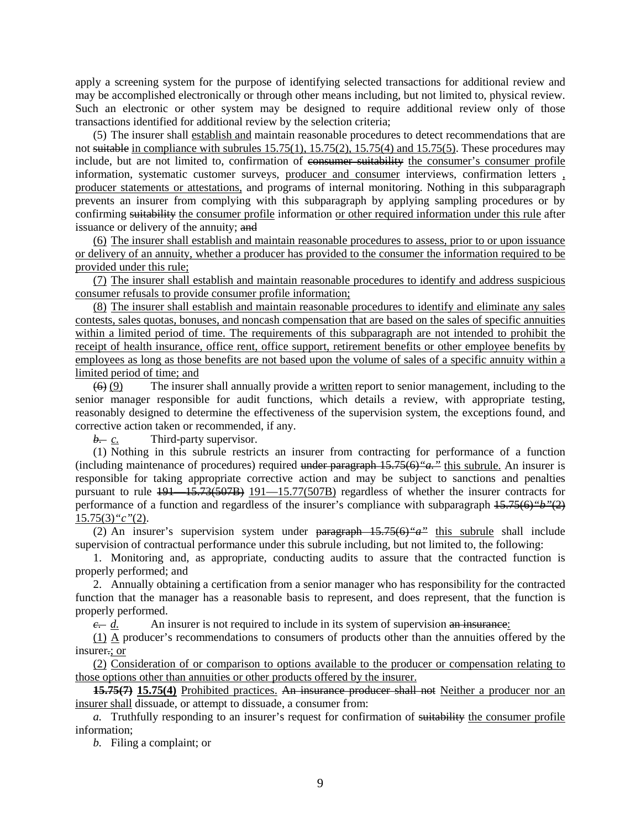apply a screening system for the purpose of identifying selected transactions for additional review and may be accomplished electronically or through other means including, but not limited to, physical review. Such an electronic or other system may be designed to require additional review only of those transactions identified for additional review by the selection criteria;

(5) The insurer shall establish and maintain reasonable procedures to detect recommendations that are not suitable in compliance with subrules  $15.75(1)$ ,  $15.75(2)$ ,  $15.75(4)$  and  $15.75(5)$ . These procedures may include, but are not limited to, confirmation of consumer suitability the consumer's consumer profile information, systematic customer surveys, producer and consumer interviews, confirmation letters , producer statements or attestations, and programs of internal monitoring. Nothing in this subparagraph prevents an insurer from complying with this subparagraph by applying sampling procedures or by confirming suitability the consumer profile information or other required information under this rule after issuance or delivery of the annuity; and

(6) The insurer shall establish and maintain reasonable procedures to assess, prior to or upon issuance or delivery of an annuity, whether a producer has provided to the consumer the information required to be provided under this rule;

(7) The insurer shall establish and maintain reasonable procedures to identify and address suspicious consumer refusals to provide consumer profile information;

(8) The insurer shall establish and maintain reasonable procedures to identify and eliminate any sales contests, sales quotas, bonuses, and noncash compensation that are based on the sales of specific annuities within a limited period of time. The requirements of this subparagraph are not intended to prohibit the receipt of health insurance, office rent, office support, retirement benefits or other employee benefits by employees as long as those benefits are not based upon the volume of sales of a specific annuity within a limited period of time; and

 $(6)$  (9) The insurer shall annually provide a written report to senior management, including to the senior manager responsible for audit functions, which details a review, with appropriate testing, reasonably designed to determine the effectiveness of the supervision system, the exceptions found, and corrective action taken or recommended, if any.

*b. c.* Third-party supervisor.

(1) Nothing in this subrule restricts an insurer from contracting for performance of a function (including maintenance of procedures) required under paragraph [15.75\(6\)](https://www.legis.iowa.gov/docs/iac/rule/191.15.75.pdf)*"a."* this subrule. An insurer is responsible for taking appropriate corrective action and may be subject to sanctions and penalties pursuant to rule  $191 - 15.73(507B)$   $191 - 15.77(507B)$  regardless of whether the insurer contracts for performance of a function and regardless of the insurer's compliance with subparagraph [15.75\(6\)](https://www.legis.iowa.gov/docs/iac/rule/191.15.75.pdf)*"b"*(2) 15.75(3)*"c"*(2).

(2) An insurer's supervision system under paragraph [15.75\(6\)](https://www.legis.iowa.gov/docs/iac/rule/191.15.75.pdf)*"a"* this subrule shall include supervision of contractual performance under this subrule including, but not limited to, the following:

1. Monitoring and, as appropriate, conducting audits to assure that the contracted function is properly performed; and

2. Annually obtaining a certification from a senior manager who has responsibility for the contracted function that the manager has a reasonable basis to represent, and does represent, that the function is properly performed.

 $\frac{c}{c}$  An insurer is not required to include in its system of supervision an insurance:

(1) A producer's recommendations to consumers of products other than the annuities offered by the insurer.; or

(2) Consideration of or comparison to options available to the producer or compensation relating to those options other than annuities or other products offered by the insurer.

**15.75(7) 15.75(4)** Prohibited practices. An insurance producer shall not Neither a producer nor an insurer shall dissuade, or attempt to dissuade, a consumer from:

*a.* Truthfully responding to an insurer's request for confirmation of suitability the consumer profile information;

*b.* Filing a complaint; or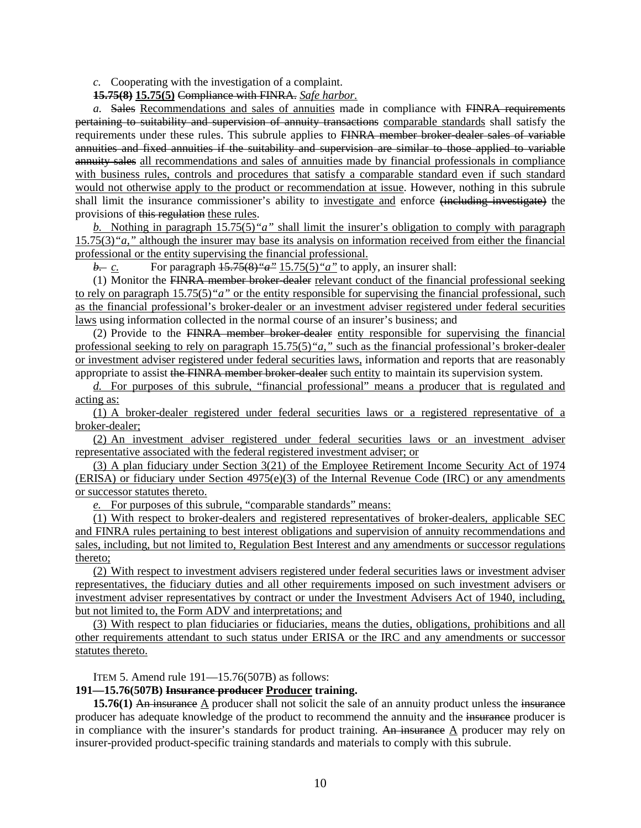*c.* Cooperating with the investigation of a complaint.

**15.75(8) 15.75(5)** Compliance with FINRA. *Safe harbor.*

*a.* Sales Recommendations and sales of annuities made in compliance with FINRA requirements pertaining to suitability and supervision of annuity transactions comparable standards shall satisfy the requirements under these rules. This subrule applies to FINRA member broker-dealer sales of variable annuities and fixed annuities if the suitability and supervision are similar to those applied to variable annuity sales all recommendations and sales of annuities made by financial professionals in compliance with business rules, controls and procedures that satisfy a comparable standard even if such standard would not otherwise apply to the product or recommendation at issue. However, nothing in this subrule shall limit the insurance commissioner's ability to investigate and enforce (including investigate) the provisions of this regulation these rules.

*b.* Nothing in paragraph 15.75(5)*"a"* shall limit the insurer's obligation to comply with paragraph 15.75(3)*"a,"* although the insurer may base its analysis on information received from either the financial professional or the entity supervising the financial professional.

*b. c.* For paragraph [15.75\(8\)](https://www.legis.iowa.gov/docs/iac/rule/191.15.75.pdf)*"a"* 15.75(5)*"a"* to apply, an insurer shall:

(1) Monitor the FINRA member broker-dealer relevant conduct of the financial professional seeking to rely on paragraph 15.75(5)*"a"* or the entity responsible for supervising the financial professional, such as the financial professional's broker-dealer or an investment adviser registered under federal securities laws using information collected in the normal course of an insurer's business; and

(2) Provide to the FINRA member broker-dealer entity responsible for supervising the financial professional seeking to rely on paragraph 15.75(5)*"a,"* such as the financial professional's broker-dealer or investment adviser registered under federal securities laws, information and reports that are reasonably appropriate to assist the FINRA member broker-dealer such entity to maintain its supervision system.

*d.* For purposes of this subrule, "financial professional" means a producer that is regulated and acting as:

(1) A broker-dealer registered under federal securities laws or a registered representative of a broker-dealer;

(2) An investment adviser registered under federal securities laws or an investment adviser representative associated with the federal registered investment adviser; or

(3) A plan fiduciary under Section 3(21) of the Employee Retirement Income Security Act of 1974  $(ERISA)$  or fiduciary under Section 4975(e)(3) of the Internal Revenue Code (IRC) or any amendments or successor statutes thereto.

*e.* For purposes of this subrule, "comparable standards" means:

(1) With respect to broker-dealers and registered representatives of broker-dealers, applicable SEC and FINRA rules pertaining to best interest obligations and supervision of annuity recommendations and sales, including, but not limited to, Regulation Best Interest and any amendments or successor regulations thereto;

(2) With respect to investment advisers registered under federal securities laws or investment adviser representatives, the fiduciary duties and all other requirements imposed on such investment advisers or investment adviser representatives by contract or under the Investment Advisers Act of 1940, including, but not limited to, the Form ADV and interpretations; and

(3) With respect to plan fiduciaries or fiduciaries, means the duties, obligations, prohibitions and all other requirements attendant to such status under ERISA or the IRC and any amendments or successor statutes thereto.

ITEM 5. Amend rule 191—15.76(507B) as follows:

## **191—15.76(507B) Insurance producer Producer training.**

**15.76(1)** An insurance  $\Delta$  producer shall not solicit the sale of an annuity product unless the insurance producer has adequate knowledge of the product to recommend the annuity and the insurance producer is in compliance with the insurer's standards for product training. An insurance  $\Delta$  producer may rely on insurer-provided product-specific training standards and materials to comply with this subrule.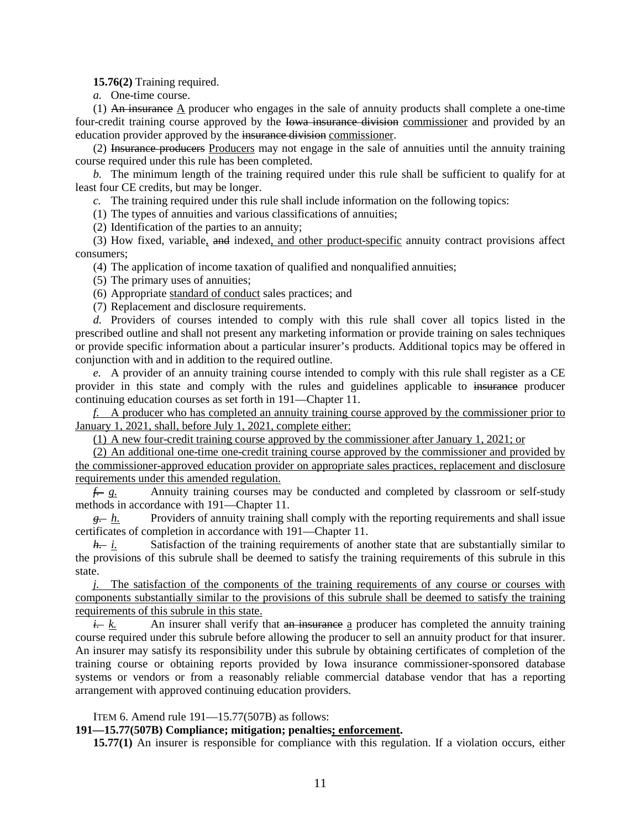**15.76(2)** Training required.

*a.* One-time course.

(1) An insurance  $\underline{A}$  producer who engages in the sale of annuity products shall complete a one-time four-credit training course approved by the Iowa insurance division commissioner and provided by an education provider approved by the insurance division commissioner.

(2) Insurance producers Producers may not engage in the sale of annuities until the annuity training course required under this rule has been completed.

*b.* The minimum length of the training required under this rule shall be sufficient to qualify for at least four CE credits, but may be longer.

*c.* The training required under this rule shall include information on the following topics:

(1) The types of annuities and various classifications of annuities;

(2) Identification of the parties to an annuity;

(3) How fixed, variable, and indexed, and other product-specific annuity contract provisions affect consumers;

(4) The application of income taxation of qualified and nonqualified annuities;

(5) The primary uses of annuities;

(6) Appropriate standard of conduct sales practices; and

(7) Replacement and disclosure requirements.

*d.* Providers of courses intended to comply with this rule shall cover all topics listed in the prescribed outline and shall not present any marketing information or provide training on sales techniques or provide specific information about a particular insurer's products. Additional topics may be offered in conjunction with and in addition to the required outline.

*e.* A provider of an annuity training course intended to comply with this rule shall register as a CE provider in this state and comply with the rules and guidelines applicable to insurance producer continuing education courses as set forth in [191—Chapter 11.](https://www.legis.iowa.gov/docs/iac/chapter/191.11.pdf)

*f.* A producer who has completed an annuity training course approved by the commissioner prior to January 1, 2021, shall, before July 1, 2021, complete either:

(1) A new four-credit training course approved by the commissioner after January 1, 2021; or

(2) An additional one-time one-credit training course approved by the commissioner and provided by the commissioner-approved education provider on appropriate sales practices, replacement and disclosure requirements under this amended regulation.

*f. g.* Annuity training courses may be conducted and completed by classroom or self-study methods in accordance with [191—Chapter 11.](https://www.legis.iowa.gov/docs/iac/chapter/191.11.pdf)

*g. h.* Providers of annuity training shall comply with the reporting requirements and shall issue certificates of completion in accordance with [191—Chapter 11.](https://www.legis.iowa.gov/docs/iac/chapter/191.11.pdf)

*h. i.* Satisfaction of the training requirements of another state that are substantially similar to the provisions of this subrule shall be deemed to satisfy the training requirements of this subrule in this state.

*j.* The satisfaction of the components of the training requirements of any course or courses with components substantially similar to the provisions of this subrule shall be deemed to satisfy the training requirements of this subrule in this state.

 $\frac{i}{k}$  An insurer shall verify that an insurance a producer has completed the annuity training course required under this subrule before allowing the producer to sell an annuity product for that insurer. An insurer may satisfy its responsibility under this subrule by obtaining certificates of completion of the training course or obtaining reports provided by Iowa insurance commissioner-sponsored database systems or vendors or from a reasonably reliable commercial database vendor that has a reporting arrangement with approved continuing education providers.

ITEM 6. Amend rule 191—15.77(507B) as follows:

**191—15.77(507B) Compliance; mitigation; penalties; enforcement.**

**15.77(1)** An insurer is responsible for compliance with this regulation. If a violation occurs, either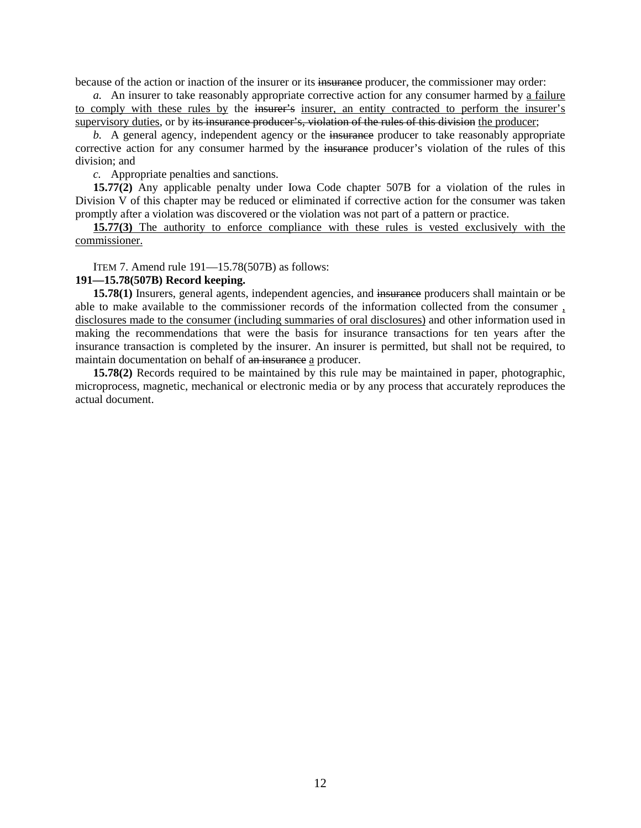because of the action or inaction of the insurer or its insurance producer, the commissioner may order:

*a.* An insurer to take reasonably appropriate corrective action for any consumer harmed by a failure to comply with these rules by the insurer's insurer, an entity contracted to perform the insurer's supervisory duties, or by its insurance producer's, violation of the rules of this division the producer;

*b.* A general agency, independent agency or the insurance producer to take reasonably appropriate corrective action for any consumer harmed by the insurance producer's violation of the rules of this division; and

*c.* Appropriate penalties and sanctions.

**15.77(2)** Any applicable penalty under Iowa Code chapter [507B](https://www.legis.iowa.gov/docs/ico/chapter/507B.pdf) for a violation of the rules in Division V of this chapter may be reduced or eliminated if corrective action for the consumer was taken promptly after a violation was discovered or the violation was not part of a pattern or practice.

**15.77(3)** The authority to enforce compliance with these rules is vested exclusively with the commissioner.

ITEM 7. Amend rule 191—15.78(507B) as follows:

#### **191—15.78(507B) Record keeping.**

**15.78(1)** Insurers, general agents, independent agencies, and insurance producers shall maintain or be able to make available to the commissioner records of the information collected from the consumer , disclosures made to the consumer (including summaries of oral disclosures) and other information used in making the recommendations that were the basis for insurance transactions for ten years after the insurance transaction is completed by the insurer. An insurer is permitted, but shall not be required, to maintain documentation on behalf of an insurance a producer.

**15.78(2)** Records required to be maintained by this rule may be maintained in paper, photographic, microprocess, magnetic, mechanical or electronic media or by any process that accurately reproduces the actual document.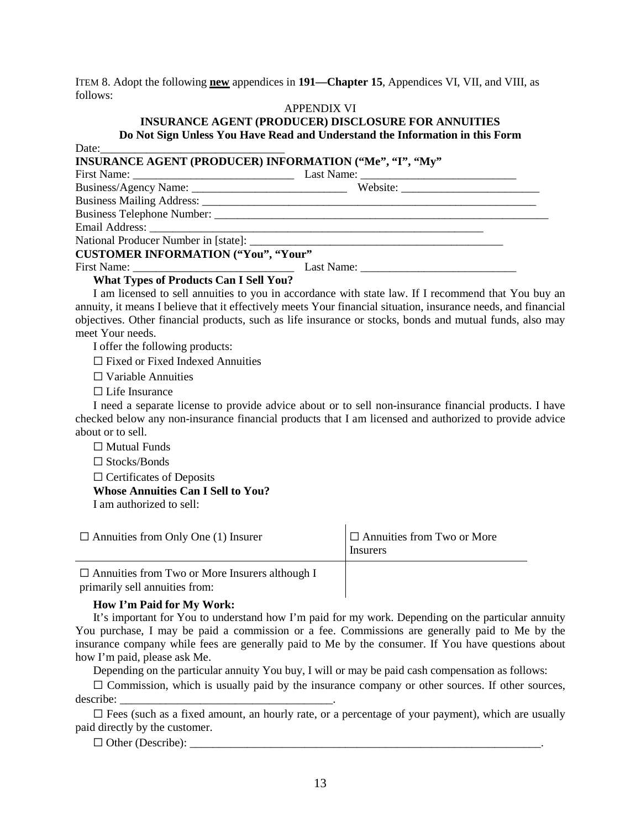ITEM 8. Adopt the following **new** appendices in **191—Chapter 15**, Appendices VI, VII, and VIII, as follows:

## APPENDIX VI

# **INSURANCE AGENT (PRODUCER) DISCLOSURE FOR ANNUITIES Do Not Sign Unless You Have Read and Understand the Information in this Form**

| Date: $\frac{1}{\sqrt{1-\frac{1}{2}} \cdot \frac{1}{2}}$ |                                                                                                                |
|----------------------------------------------------------|----------------------------------------------------------------------------------------------------------------|
| INSURANCE AGENT (PRODUCER) INFORMATION ("Me", "I", "My"  |                                                                                                                |
|                                                          |                                                                                                                |
|                                                          |                                                                                                                |
|                                                          |                                                                                                                |
|                                                          |                                                                                                                |
|                                                          |                                                                                                                |
|                                                          |                                                                                                                |
| <b>CUSTOMER INFORMATION ("You", "Your"</b>               |                                                                                                                |
|                                                          |                                                                                                                |
| <b>What Types of Products Can I Sell You?</b>            |                                                                                                                |
|                                                          | I am licensed to sell annuities to you in accordance with state law. If I recommend that You buy an            |
|                                                          | annuity, it means I believe that it effectively meets Your financial situation, insurance needs, and financial |
|                                                          | objectives. Other financial products, such as life insurance or stocks, bonds and mutual funds, also may       |

meet Your needs.

I offer the following products:

☐ Fixed or Fixed Indexed Annuities

☐ Variable Annuities

□ Life Insurance

I need a separate license to provide advice about or to sell non-insurance financial products. I have checked below any non-insurance financial products that I am licensed and authorized to provide advice about or to sell.

 $\Box$  Mutual Funds

☐ Stocks/Bonds

 $\Box$  Certificates of Deposits

**Whose Annuities Can I Sell to You?**

I am authorized to sell:

| $\Box$ Annuities from Only One (1) Insurer                                              | $\Box$ Annuities from Two or More<br>Insurers |
|-----------------------------------------------------------------------------------------|-----------------------------------------------|
| $\Box$ Annuities from Two or More Insurers although I<br>primarily sell annuities from: |                                               |

## **How I'm Paid for My Work:**

It's important for You to understand how I'm paid for my work. Depending on the particular annuity You purchase, I may be paid a commission or a fee. Commissions are generally paid to Me by the insurance company while fees are generally paid to Me by the consumer. If You have questions about how I'm paid, please ask Me.

Depending on the particular annuity You buy, I will or may be paid cash compensation as follows:

 $\Box$  Commission, which is usually paid by the insurance company or other sources. If other sources, describe:

 $\Box$  Fees (such as a fixed amount, an hourly rate, or a percentage of your payment), which are usually paid directly by the customer.

 $\Box$  Other (Describe):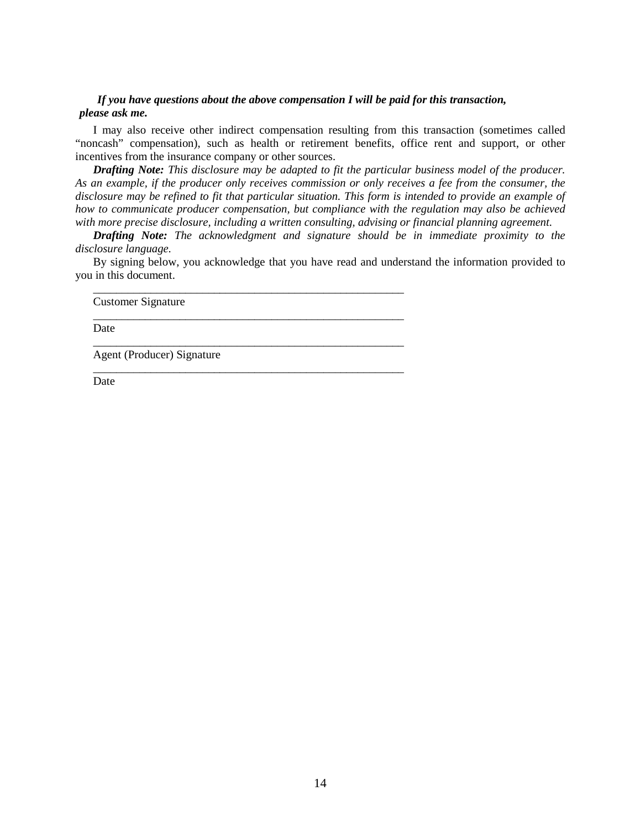## *If you have questions about the above compensation I will be paid for this transaction, please ask me.*

I may also receive other indirect compensation resulting from this transaction (sometimes called "noncash" compensation), such as health or retirement benefits, office rent and support, or other incentives from the insurance company or other sources.

*Drafting Note: This disclosure may be adapted to fit the particular business model of the producer. As an example, if the producer only receives commission or only receives a fee from the consumer, the disclosure may be refined to fit that particular situation. This form is intended to provide an example of how to communicate producer compensation, but compliance with the regulation may also be achieved with more precise disclosure, including a written consulting, advising or financial planning agreement.*

*Drafting Note: The acknowledgment and signature should be in immediate proximity to the disclosure language.*

By signing below, you acknowledge that you have read and understand the information provided to you in this document.

\_\_\_\_\_\_\_\_\_\_\_\_\_\_\_\_\_\_\_\_\_\_\_\_\_\_\_\_\_\_\_\_\_\_\_\_\_\_\_\_\_\_\_\_\_\_\_\_\_\_\_\_\_\_

\_\_\_\_\_\_\_\_\_\_\_\_\_\_\_\_\_\_\_\_\_\_\_\_\_\_\_\_\_\_\_\_\_\_\_\_\_\_\_\_\_\_\_\_\_\_\_\_\_\_\_\_\_\_

\_\_\_\_\_\_\_\_\_\_\_\_\_\_\_\_\_\_\_\_\_\_\_\_\_\_\_\_\_\_\_\_\_\_\_\_\_\_\_\_\_\_\_\_\_\_\_\_\_\_\_\_\_\_

\_\_\_\_\_\_\_\_\_\_\_\_\_\_\_\_\_\_\_\_\_\_\_\_\_\_\_\_\_\_\_\_\_\_\_\_\_\_\_\_\_\_\_\_\_\_\_\_\_\_\_\_\_\_

Customer Signature

Date

Agent (Producer) Signature

Date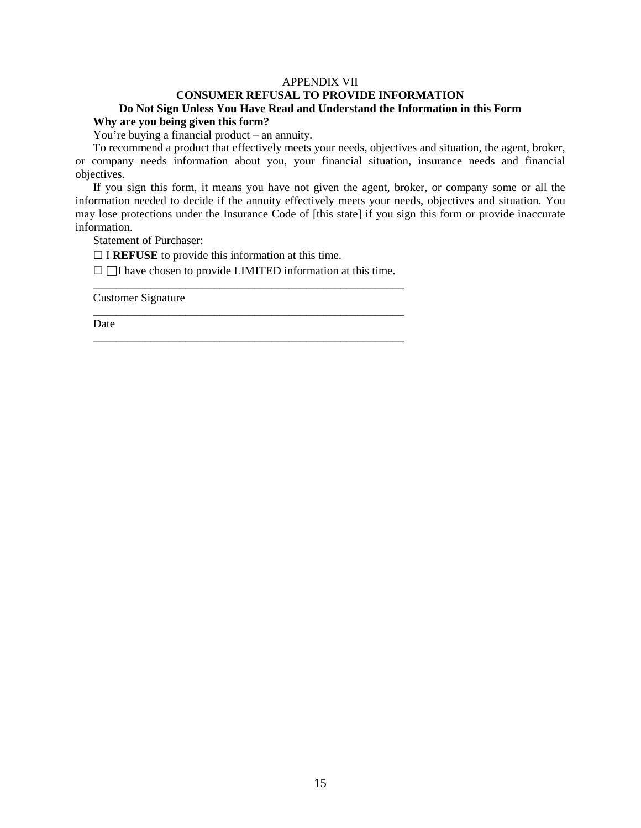## APPENDIX VII

## **CONSUMER REFUSAL TO PROVIDE INFORMATION Do Not Sign Unless You Have Read and Understand the Information in this Form**

# **Why are you being given this form?**

You're buying a financial product – an annuity.

To recommend a product that effectively meets your needs, objectives and situation, the agent, broker, or company needs information about you, your financial situation, insurance needs and financial objectives.

If you sign this form, it means you have not given the agent, broker, or company some or all the information needed to decide if the annuity effectively meets your needs, objectives and situation. You may lose protections under the Insurance Code of [this state] if you sign this form or provide inaccurate information.

Statement of Purchaser:

 $\Box$  I **REFUSE** to provide this information at this time.

 $\Box$  I have chosen to provide LIMITED information at this time. \_\_\_\_\_\_\_\_\_\_\_\_\_\_\_\_\_\_\_\_\_\_\_\_\_\_\_\_\_\_\_\_\_\_\_\_\_\_\_\_\_\_\_\_\_\_\_\_\_\_\_\_\_\_

\_\_\_\_\_\_\_\_\_\_\_\_\_\_\_\_\_\_\_\_\_\_\_\_\_\_\_\_\_\_\_\_\_\_\_\_\_\_\_\_\_\_\_\_\_\_\_\_\_\_\_\_\_\_

\_\_\_\_\_\_\_\_\_\_\_\_\_\_\_\_\_\_\_\_\_\_\_\_\_\_\_\_\_\_\_\_\_\_\_\_\_\_\_\_\_\_\_\_\_\_\_\_\_\_\_\_\_\_

Customer Signature

Date